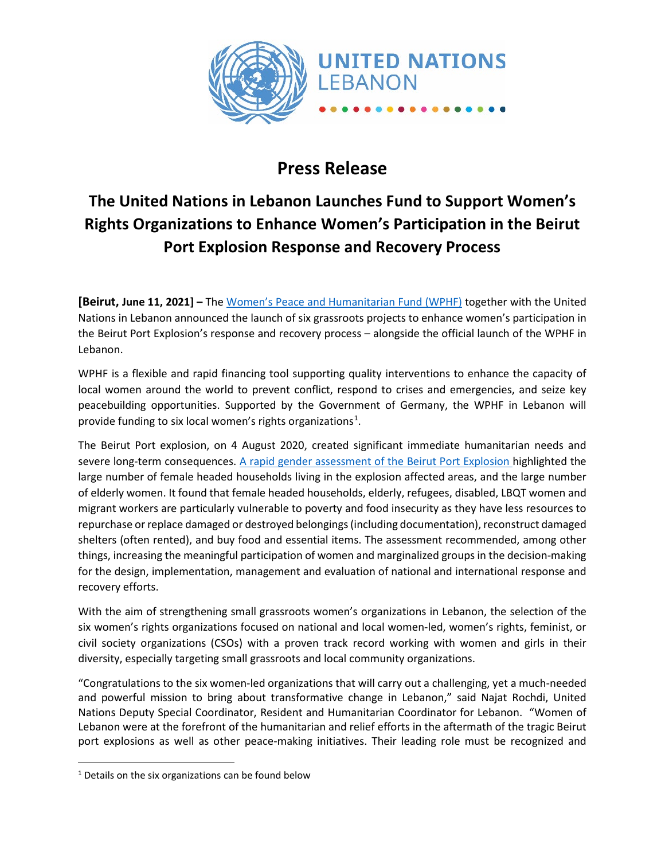

## **Press Release**

## **The United Nations in Lebanon Launches Fund to Support Women's Rights Organizations to Enhance Women's Participation in the Beirut Port Explosion Response and Recovery Process**

**[Beirut, June 11, 2021] –** The [Women's Peace and Humanitarian Fund \(WPHF\)](http://www.wphfund.org/) together with the United Nations in Lebanon announced the launch of six grassroots projects to enhance women's participation in the Beirut Port Explosion's response and recovery process – alongside the official launch of the WPHF in Lebanon.

WPHF is a flexible and rapid financing tool supporting quality interventions to enhance the capacity of local women around the world to prevent conflict, respond to crises and emergencies, and seize key peacebuilding opportunities. Supported by the Government of Germany, the WPHF in Lebanon will provide funding to six local women's rights organizations<sup>[1](#page-0-0)</sup>.

The Beirut Port explosion, on 4 August 2020, created significant immediate humanitarian needs and severe long-term consequences. [A rapid gender assessment of the Beirut Port Explosion](https://www2.unwomen.org/-/media/field%20office%20arab%20states/attachments/publications/2020/10/rga%20_%20beirut%20explosion%20october%2028%202020.pdf?la=en&vs=3242) highlighted the large number of female headed households living in the explosion affected areas, and the large number of elderly women. It found that female headed households, elderly, refugees, disabled, LBQT women and migrant workers are particularly vulnerable to poverty and food insecurity as they have less resources to repurchase or replace damaged or destroyed belongings (including documentation), reconstruct damaged shelters (often rented), and buy food and essential items. The assessment recommended, among other things, increasing the meaningful participation of women and marginalized groups in the decision-making for the design, implementation, management and evaluation of national and international response and recovery efforts.

With the aim of strengthening small grassroots women's organizations in Lebanon, the selection of the six women's rights organizations focused on national and local women-led, women's rights, feminist, or civil society organizations (CSOs) with a proven track record working with women and girls in their diversity, especially targeting small grassroots and local community organizations.

"Congratulations to the six women-led organizations that will carry out a challenging, yet a much-needed and powerful mission to bring about transformative change in Lebanon," said Najat Rochdi, United Nations Deputy Special Coordinator, Resident and Humanitarian Coordinator for Lebanon. "Women of Lebanon were at the forefront of the humanitarian and relief efforts in the aftermath of the tragic Beirut port explosions as well as other peace-making initiatives. Their leading role must be recognized and

<span id="page-0-0"></span> $1$  Details on the six organizations can be found below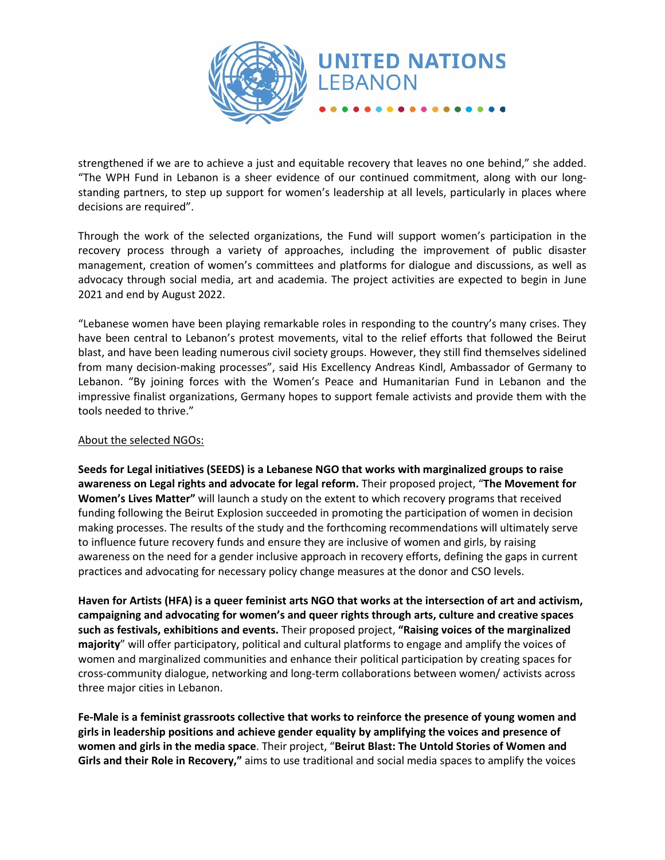

strengthened if we are to achieve a just and equitable recovery that leaves no one behind," she added. "The WPH Fund in Lebanon is a sheer evidence of our continued commitment, along with our longstanding partners, to step up support for women's leadership at all levels, particularly in places where decisions are required".

Through the work of the selected organizations, the Fund will support women's participation in the recovery process through a variety of approaches, including the improvement of public disaster management, creation of women's committees and platforms for dialogue and discussions, as well as advocacy through social media, art and academia. The project activities are expected to begin in June 2021 and end by August 2022.

"Lebanese women have been playing remarkable roles in responding to the country's many crises. They have been central to Lebanon's protest movements, vital to the relief efforts that followed the Beirut blast, and have been leading numerous civil society groups. However, they still find themselves sidelined from many decision-making processes", said His Excellency Andreas Kindl, Ambassador of Germany to Lebanon. "By joining forces with the Women's Peace and Humanitarian Fund in Lebanon and the impressive finalist organizations, Germany hopes to support female activists and provide them with the tools needed to thrive."

## About the selected NGOs:

**Seeds for Legal initiatives (SEEDS) is a Lebanese NGO that works with marginalized groups to raise awareness on Legal rights and advocate for legal reform.** Their proposed project, "**The Movement for Women's Lives Matter"** will launch a study on the extent to which recovery programs that received funding following the Beirut Explosion succeeded in promoting the participation of women in decision making processes. The results of the study and the forthcoming recommendations will ultimately serve to influence future recovery funds and ensure they are inclusive of women and girls, by raising awareness on the need for a gender inclusive approach in recovery efforts, defining the gaps in current practices and advocating for necessary policy change measures at the donor and CSO levels.

**Haven for Artists (HFA) is a queer feminist arts NGO that works at the intersection of art and activism, campaigning and advocating for women's and queer rights through arts, culture and creative spaces such as festivals, exhibitions and events.** Their proposed project, **"Raising voices of the marginalized majority**" will offer participatory, political and cultural platforms to engage and amplify the voices of women and marginalized communities and enhance their political participation by creating spaces for cross-community dialogue, networking and long-term collaborations between women/ activists across three major cities in Lebanon.

**Fe-Male is a feminist grassroots collective that works to reinforce the presence of young women and girls in leadership positions and achieve gender equality by amplifying the voices and presence of women and girls in the media space**. Their project, "**Beirut Blast: The Untold Stories of Women and Girls and their Role in Recovery,"** aims to use traditional and social media spaces to amplify the voices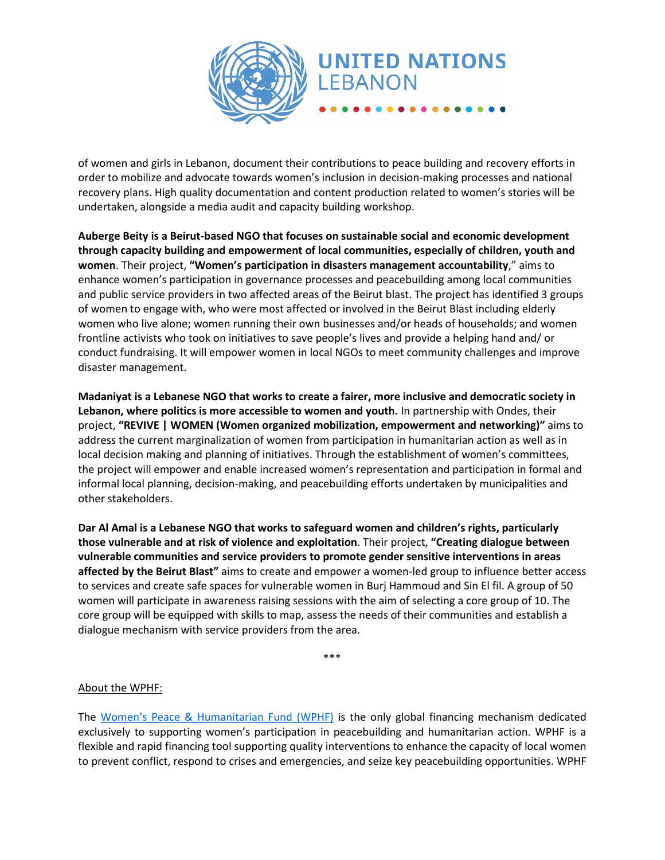

of women and girls in Lebanon, document their contributions to peace building and recovery efforts in order to mobilize and advocate towards women's inclusion in decision-making processes and national recovery plans. High quality documentation and content production related to women's stories will be undertaken, alongside a media audit and capacity building workshop.

**Auberge Beity is a Beirut-based NGO that focuses on sustainable social and economic development through capacity building and empowerment of local communities, especially of children, youth and women**. Their project, **"Women's participation in disasters management accountability**," aims to enhance women's participation in governance processes and peacebuilding among local communities and public service providers in two affected areas of the Beirut blast. The project has identified 3 groups of women to engage with, who were most affected or involved in the Beirut Blast including elderly women who live alone; women running their own businesses and/or heads of households; and women frontline activists who took on initiatives to save people's lives and provide a helping hand and/ or conduct fundraising. It will empower women in local NGOs to meet community challenges and improve disaster management.

**Madaniyat is a Lebanese NGO that works to create a fairer, more inclusive and democratic society in Lebanon, where politics is more accessible to women and youth.** In partnership with Ondes, their project, **"REVIVE | WOMEN (Women organized mobilization, empowerment and networking)"** aims to address the current marginalization of women from participation in humanitarian action as well as in local decision making and planning of initiatives. Through the establishment of women's committees, the project will empower and enable increased women's representation and participation in formal and informal local planning, decision-making, and peacebuilding efforts undertaken by municipalities and other stakeholders.

**Dar Al Amal is a Lebanese NGO that works to safeguard women and children's rights, particularly those vulnerable and at risk of violence and exploitation**. Their project, **"Creating dialogue between vulnerable communities and service providers to promote gender sensitive interventions in areas affected by the Beirut Blast"** aims to create and empower a women-led group to influence better access to services and create safe spaces for vulnerable women in Burj Hammoud and Sin El fil. A group of 50 women will participate in awareness raising sessions with the aim of selecting a core group of 10. The core group will be equipped with skills to map, assess the needs of their communities and establish a dialogue mechanism with service providers from the area.

\*\*\*

## About the WPHF:

The [Women's Peace & Humanitarian Fund \(WPHF\)](http://www.wphfund.org/) is the only global financing mechanism dedicated exclusively to supporting women's participation in peacebuilding and humanitarian action. WPHF is a flexible and rapid financing tool supporting quality interventions to enhance the capacity of local women to prevent conflict, respond to crises and emergencies, and seize key peacebuilding opportunities. WPHF